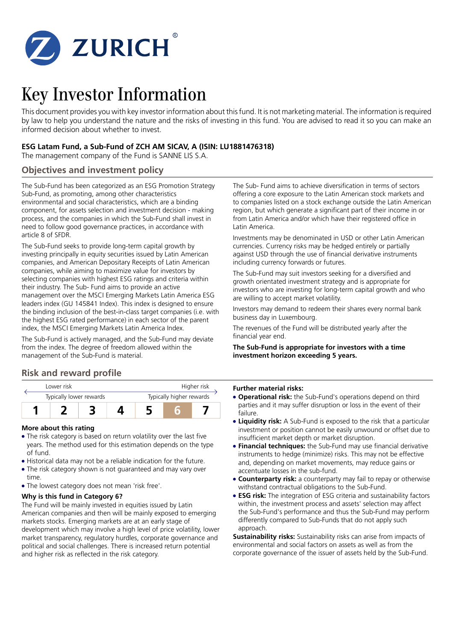

# Key Investor Information

This document provides you with key investor information about this fund. It is not marketing material. The information is required by law to help you understand the nature and the risks of investing in this fund. You are advised to read it so you can make an informed decision about whether to invest.

## **ESG Latam Fund, a Sub-Fund of ZCH AM SICAV, A (ISIN: LU1881476318)**

The management company of the Fund is SANNE LIS S.A.

## **Objectives and investment policy**

The Sub-Fund has been categorized as an ESG Promotion Strategy Sub-Fund, as promoting, among other characteristics environmental and social characteristics, which are a binding component, for assets selection and investment decision - making process, and the companies in which the Sub-Fund shall invest in need to follow good governance practices, in accordance with article 8 of SFDR.

The Sub-Fund seeks to provide long-term capital growth by investing principally in equity securities issued by Latin American companies, and American Depositary Receipts of Latin American companies, while aiming to maximize value for investors by selecting companies with highest ESG ratings and criteria within their industry. The Sub- Fund aims to provide an active management over the MSCI Emerging Markets Latin America ESG leaders index (GU 145841 Index). This index is designed to ensure the binding inclusion of the best-in-class target companies (i.e. with the highest ESG rated performance) in each sector of the parent index, the MSCI Emerging Markets Latin America Index.

The Sub-Fund is actively managed, and the Sub-Fund may deviate from the index. The degree of freedom allowed within the management of the Sub-Fund is material.

## **Risk and reward profile**



## **More about this rating**

- The risk category is based on return volatility over the last five years. The method used for this estimation depends on the type of fund.
- 5 Historical data may not be a reliable indication for the future.
- The risk category shown is not guaranteed and may vary over time.
- The lowest category does not mean 'risk free'.

## **Why is this fund in Category 6?**

The Fund will be mainly invested in equities issued by Latin American companies and then will be mainly exposed to emerging markets stocks. Emerging markets are at an early stage of development which may involve a high level of price volatility, lower market transparency, regulatory hurdles, corporate governance and political and social challenges. There is increased return potential and higher risk as reflected in the risk category.

The Sub- Fund aims to achieve diversification in terms of sectors offering a core exposure to the Latin American stock markets and to companies listed on a stock exchange outside the Latin American region, but which generate a significant part of their income in or from Latin America and/or which have their registered office in Latin America.

Investments may be denominated in USD or other Latin American currencies. Currency risks may be hedged entirely or partially against USD through the use of financial derivative instruments including currency forwards or futures.

The Sub-Fund may suit investors seeking for a diversified and growth orientated investment strategy and is appropriate for investors who are investing for long-term capital growth and who are willing to accept market volatility.

Investors may demand to redeem their shares every normal bank business day in Luxembourg.

The revenues of the Fund will be distributed yearly after the financial year end.

#### **The Sub-Fund is appropriate for investors with a time investment horizon exceeding 5 years.**

#### **Further material risks:**

- **Operational risk:** the Sub-Fund's operations depend on third parties and it may suffer disruption or loss in the event of their failure.
- **Liquidity risk:** A Sub-Fund is exposed to the risk that a particular investment or position cannot be easily unwound or offset due to insufficient market depth or market disruption.
- **Financial techniques:** the Sub-Fund may use financial derivative instruments to hedge (minimize) risks. This may not be effective and, depending on market movements, may reduce gains or accentuate losses in the sub-fund.
- **Counterparty risk:** a counterparty may fail to repay or otherwise withstand contractual obligations to the Sub-Fund.
- **ESG risk:** The integration of ESG criteria and sustainability factors within, the investment process and assets' selection may affect the Sub-Fund's performance and thus the Sub-Fund may perform differently compared to Sub-Funds that do not apply such approach.

**Sustainability risks:** Sustainability risks can arise from impacts of environmental and social factors on assets as well as from the corporate governance of the issuer of assets held by the Sub-Fund.